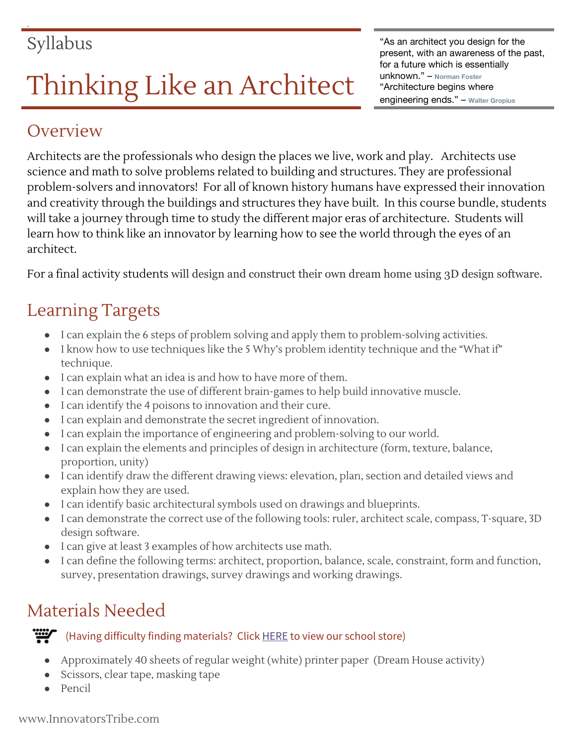# Thinking Like an Architect The Changineering ends." – Norman Foster Architecture begins where

## **Overview**

Architects are the professionals who design the places we live, work and play. Architects use science and math to solve problems related to building and structures. They are professional problem-solvers and innovators! For all of known history humans have expressed their innovation and creativity through the buildings and structures they have built. In this course bundle, students will take a journey through time to study the different major eras of architecture. Students will learn how to think like an innovator by learning how to see the world through the eyes of an architect.

For a final activity students will design and construct their own dream home using 3D design software.

# Learning Targets

- I can explain the 6 steps of problem solving and apply them to problem-solving activities.
- I know how to use techniques like the 5 Why's problem identity technique and the "What if" technique.
- I can explain what an idea is and how to have more of them.
- I can demonstrate the use of different brain-games to help build innovative muscle.
- I can identify the 4 poisons to innovation and their cure.
- I can explain and demonstrate the secret ingredient of innovation.
- I can explain the importance of engineering and problem-solving to our world.
- I can explain the elements and principles of design in architecture (form, texture, balance, proportion, unity)
- I can identify draw the different drawing views: elevation, plan, section and detailed views and explain how they are used.
- I can identify basic architectural symbols used on drawings and blueprints.
- I can demonstrate the correct use of the following tools: ruler, architect scale, compass, T-square, 3D design software.
- I can give at least 3 examples of how architects use math.
- I can define the following terms: architect, proportion, balance, scale, constraint, form and function, survey, presentation drawings, survey drawings and working drawings.

# Materials Needed

#### (Having difficulty finding materials? Click **[HERE](https://www.innovatorstribe.com/schoolstore)** to view our school store)

- Approximately 40 sheets of regular weight (white) printer paper (Dream House activity)
- Scissors, clear tape, masking tape
- Pencil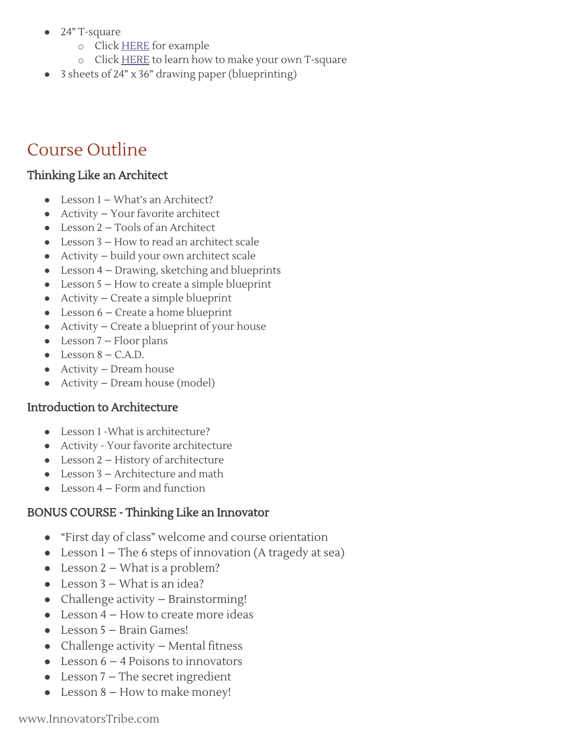- 24" T-square
	- o Click **[HERE](http://www.amazon.com/Pro-Art-18-Inch-Wood-T-Square/dp/B0027A7G8U/ref=sr_1_3?ie=UTF8&qid=1441137080&sr=8-3&keywords=t+square)** for example
	- o Click **[HERE](https://drive.google.com/file/d/0B-XsWhg4i-2Va3huTmtjRnUzck0/view)** to learn how to make your own T-square
- 3 sheets of 24" x 36" drawing paper (blueprinting)

### Course Outline

#### Thinking Like an Architect

- Lesson 1 What's an Architect?
- Activity Your favorite architect
- Lesson 2 Tools of an Architect
- $\bullet$  Lesson  $3$  How to read an architect scale
- Activity build your own architect scale
- Lesson 4 Drawing, sketching and blueprints
- Lesson 5 How to create a simple blueprint
- Activity Create a simple blueprint
- Lesson 6 Create a home blueprint
- Activity Create a blueprint of your house
- $\bullet$  Lesson 7 Floor plans
- $\bullet$  Lesson  $8 C.A.D.$
- Activity Dream house
- Activity Dream house (model)

#### Introduction to Architecture

- Lesson 1 -What is architecture?
- Activity Your favorite architecture
- Lesson 2 History of architecture
- $\bullet$  Lesson 3 Architecture and math
- $\bullet$  Lesson 4 Form and function

#### BONUS COURSE - Thinking Like an Innovator

- "First day of class" welcome and course orientation
- Lesson 1 The 6 steps of innovation (A tragedy at sea)
- Lesson  $2$  What is a problem?
- Lesson 3 What is an idea?
- Challenge activity Brainstorming!
- $\bullet$  Lesson 4 How to create more ideas
- Lesson 5 Brain Games!
- Challenge activity  $-$  Mental fitness
- Lesson  $6 4$  Poisons to innovators
- Lesson 7 The secret ingredient
- Lesson  $8$  How to make money!

www.InnovatorsTribe.com